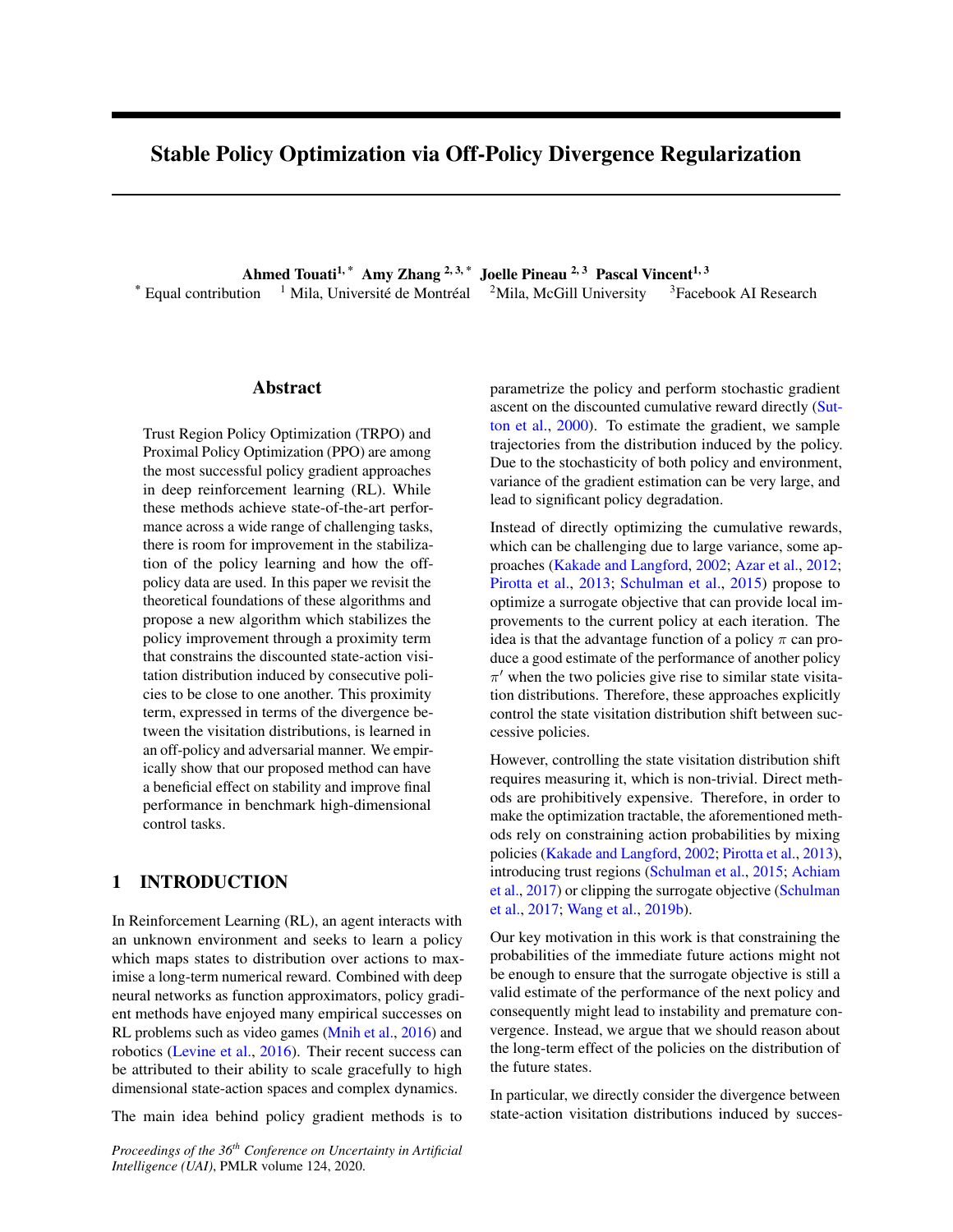# Stable Policy Optimization via Off-Policy Divergence Regularization

Ahmed Touati<sup>1,\*</sup> Amy Zhang<sup>2,3,\*</sup> Joelle Pineau<sup>2,3</sup> Pascal Vincent<sup>1,3</sup> \* Equal contribution  $1$  Mila, Université de Montréal  $2$ Mila, McGill University  $3$ Facebook AI Research

#### Abstract

Trust Region Policy Optimization (TRPO) and Proximal Policy Optimization (PPO) are among the most successful policy gradient approaches in deep reinforcement learning (RL). While these methods achieve state-of-the-art performance across a wide range of challenging tasks, there is room for improvement in the stabilization of the policy learning and how the offpolicy data are used. In this paper we revisit the theoretical foundations of these algorithms and propose a new algorithm which stabilizes the policy improvement through a proximity term that constrains the discounted state-action visitation distribution induced by consecutive policies to be close to one another. This proximity term, expressed in terms of the divergence between the visitation distributions, is learned in an off-policy and adversarial manner. We empirically show that our proposed method can have a beneficial effect on stability and improve final performance in benchmark high-dimensional control tasks.

## 1 INTRODUCTION

In Reinforcement Learning (RL), an agent interacts with an unknown environment and seeks to learn a policy which maps states to distribution over actions to maximise a long-term numerical reward. Combined with deep neural networks as function approximators, policy gradient methods have enjoyed many empirical successes on RL problems such as video games (Mnih et al., 2016) and robotics (Levine et al., 2016). Their recent success can be attributed to their ability to scale gracefully to high dimensional state-action spaces and complex dynamics.

The main idea behind policy gradient methods is to

*Proceedings of the 36th Conference on Uncertainty in Artificial Intelligence (UAI)*, PMLR volume 124, 2020.

parametrize the policy and perform stochastic gradient ascent on the discounted cumulative reward directly (Sutton et al., 2000). To estimate the gradient, we sample trajectories from the distribution induced by the policy. Due to the stochasticity of both policy and environment, variance of the gradient estimation can be very large, and lead to significant policy degradation.

Instead of directly optimizing the cumulative rewards, which can be challenging due to large variance, some approaches (Kakade and Langford, 2002; Azar et al., 2012; Pirotta et al., 2013; Schulman et al., 2015) propose to optimize a surrogate objective that can provide local improvements to the current policy at each iteration. The idea is that the advantage function of a policy  $\pi$  can produce a good estimate of the performance of another policy  $\pi'$  when the two policies give rise to similar state visitation distributions. Therefore, these approaches explicitly control the state visitation distribution shift between successive policies.

However, controlling the state visitation distribution shift requires measuring it, which is non-trivial. Direct methods are prohibitively expensive. Therefore, in order to make the optimization tractable, the aforementioned methods rely on constraining action probabilities by mixing policies (Kakade and Langford, 2002; Pirotta et al., 2013), introducing trust regions (Schulman et al., 2015; Achiam et al., 2017) or clipping the surrogate objective (Schulman et al., 2017; Wang et al., 2019b).

Our key motivation in this work is that constraining the probabilities of the immediate future actions might not be enough to ensure that the surrogate objective is still a valid estimate of the performance of the next policy and consequently might lead to instability and premature convergence. Instead, we argue that we should reason about the long-term effect of the policies on the distribution of the future states.

In particular, we directly consider the divergence between state-action visitation distributions induced by succes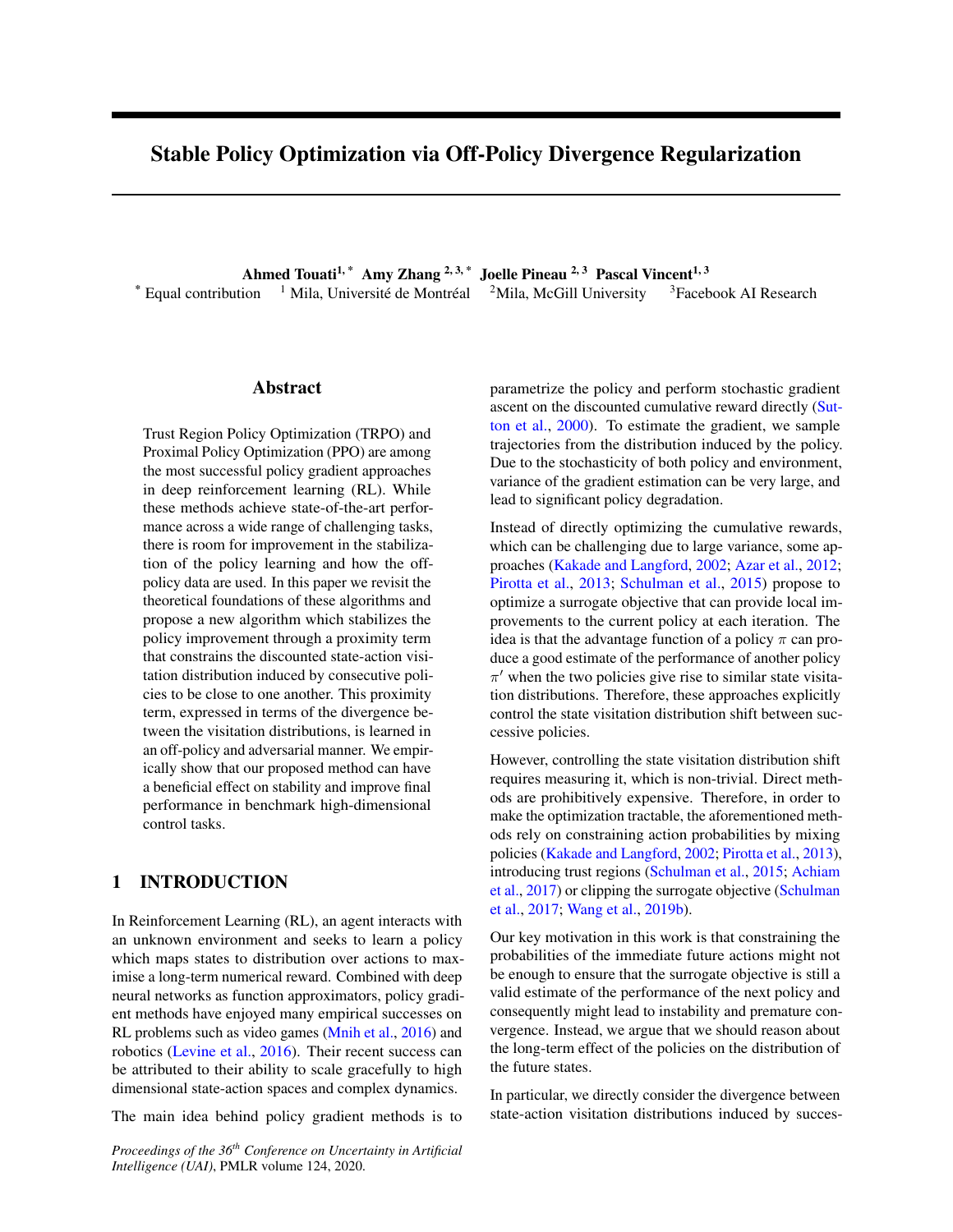sive policies and use it as a regularization term addedliscounted state-action visitation distribution(s; a) of to the surrogate objective. This regularization term is policy

 $(s; a)$ ,  $(1)$ 

X1

 $t = 0$ 

itself optimized in an adversarial and off-policy manner by leveraging recent advances in off-policy policy evaluation (Nachum et al., 2019a) and off-policy imitation learning (Kostrikov et al., 2019). We incorporate these

ideas in the PPO algorithm in order to ensure safer policyt is known (Puterman, 1990) that (s; a) = d (s) (a j learning and better reuse of off-policy data. We call ours) and that is characterized via8(s<sup>0</sup>; a<sup>0</sup>) 2 S A <sup>1</sup> proposed method PPO-DICE.

The present paper is organized as follows: after reviewing conservative approaches for policy learning, we provide theoretical insights motivating our method. We explain how off-policy adversarial formulation can be derived to

optimize the regularization term. We then present the 2.2 CONSERVATIVE UPDATE APPROACHES algorithmic details of our proposed method. Finally, we

show empirical evidences of the bene-ts of PPO-DICE Most policy training approaches in RL can be understood as well as ablation studies.

## 2 PRELIMINARIES

### 2.1 MARKOV DECISION PROCESSES AND VISITATION DISTRIBUTIONS

In reinforcement learning, an agent interacts with its en<sub>Lemma</sub> 2.1 (The performance difference lemma (Kakade vironment, which we model as a discounted Markov De-

cision Process (MDP $(S; A; ; P; r; )$  with state space S, action spaceA, discount factor 2 [0; 1), transition modelP where $P(s^0)$  s; a) is the probability of transitioning into states $^0$ upon taking actiona in states, reward functionr: (S A)! R and initial distribution over S. We denote by (a j s) the probability of choosing actiona in states under the policy . The value function for policy, denoted / : S ! R, represents the tion for policy, denoted control of the represents the expensive since it requires estimation for all <sup>0</sup> candi-<br>expected sum of discounted rewards along the trajector are address this issue. Conservative Peliau terra s: V (s),  $E\left[\begin{array}{cc} 1 & t \\ t=0 \end{array} \right]$  is  $t_0 = s$ ; ]. Similarly, the action-value Q-value) functionQ : S A ! R and the advantage function  $A : S A!$ A! Rare de ned as: Q  $(s; a)$ ,  $E\left[\begin{array}{cc} 1 & t \\ t_{-0} & t_{r} \end{array}\right]$   $(s_0; a_0) = (s; a)$ ; and A  $(s; a)$ , Q  $(s; a)$  V  $(s)$ . The goal of the agent is to nd a policy that maximizes the expected value from by ignoring changes in state visitation distribution due under the initial state distribution:

$$
\text{max } J( )
$$
, (1)  $E_s$  [V (s)]:

We de ne the discounted state visitation distribution induced by a policy :

d (s), (1) 
$$
\bigvee_{t=0}^{X} {}^{t}Pr (s_{t} = s j s_{0} )
$$
;

wherePr  $(s_t = s \, \mathrm{i} \, s_0)$  is the probability thas  $s_t = s$ , after we execute for t steps, starting from initial state  $s_0$  distributed according to. Similarly, we de ne the

$$
(s^0, a^0) = (1 \quad Z \quad ) \quad (s^0) \quad (a^0 \quad s^0) \tag{1}
$$

$$
+ \qquad (a^0 j s^0)P(s^0 j s; a) \quad (s; a) ds da;
$$

<sup>t</sup>Pr (s<sub>t</sub> = s;  $a_t$  = a j s<sub>0</sub> ):

as updating a current policyto a new improved policy  $^0$ based on the advantage function or an estimate of it. We review here some popular approaches that implement conservative updates in order to stabilize policy training.

First, let us state a key lemma from the seminal work of Kakade and Langford (2002) that relates the performance difference between two policies to the advantage function.

and Langford, 2002.))For all policies and <sup>0</sup> ,

$$
J(0) = J(1) + E_{s-d} \circ E_{a} \circ (1) \circ [A (s; a)] : (2)
$$

ries induced by the policy in the MDP starting at state  $(CPI)$  (Kakade and Langford, 2002) optimizes a surro-This lemma implies that maximizing Equation will yield a new policy  $0$  with guaranteed performance improvement over a given policy. Unfortunately, a naive direct application of this procedure would be prohibitively dates. To address this issue, Conservative Policy Iteration gate objective de ned based on current policyat each iterationi,

L<sub>i</sub>( 
$$
^0
$$
) = J(<sub>i</sub>) + E<sub>s d</sub> i E<sub>a</sub> o<sub>(:js)</sub> [A<sup>i</sup>(s; a)]; (3)

to changes in the policy. Then, CPI returns the stochastic mixture  $_{i+1} = \frac{1}{i} + (1 - \frac{1}{i})$  where  $_i^+ =$ arg max  $\circ$  L  $_{\shortparallel}$  (  $^{-0}$ ) is the greedy policy and $_{\shortparallel}$  2 [0; 1] is tuned to guarantee a monotonically increasing sequence of policies.

Inspired by CPI, the Trust Region Policy Optimization algorithm (TRPO) (Schulman et al., 2015) extends the policy improvement step to any general stochastic policy

<sup>&</sup>lt;sup>1</sup>By abuse of notation, we confound probability distributions with their Radon–Nikodym derivative with respect to the Lebesgue measure (for continuous spaces) or counting measure (for discrete spaces).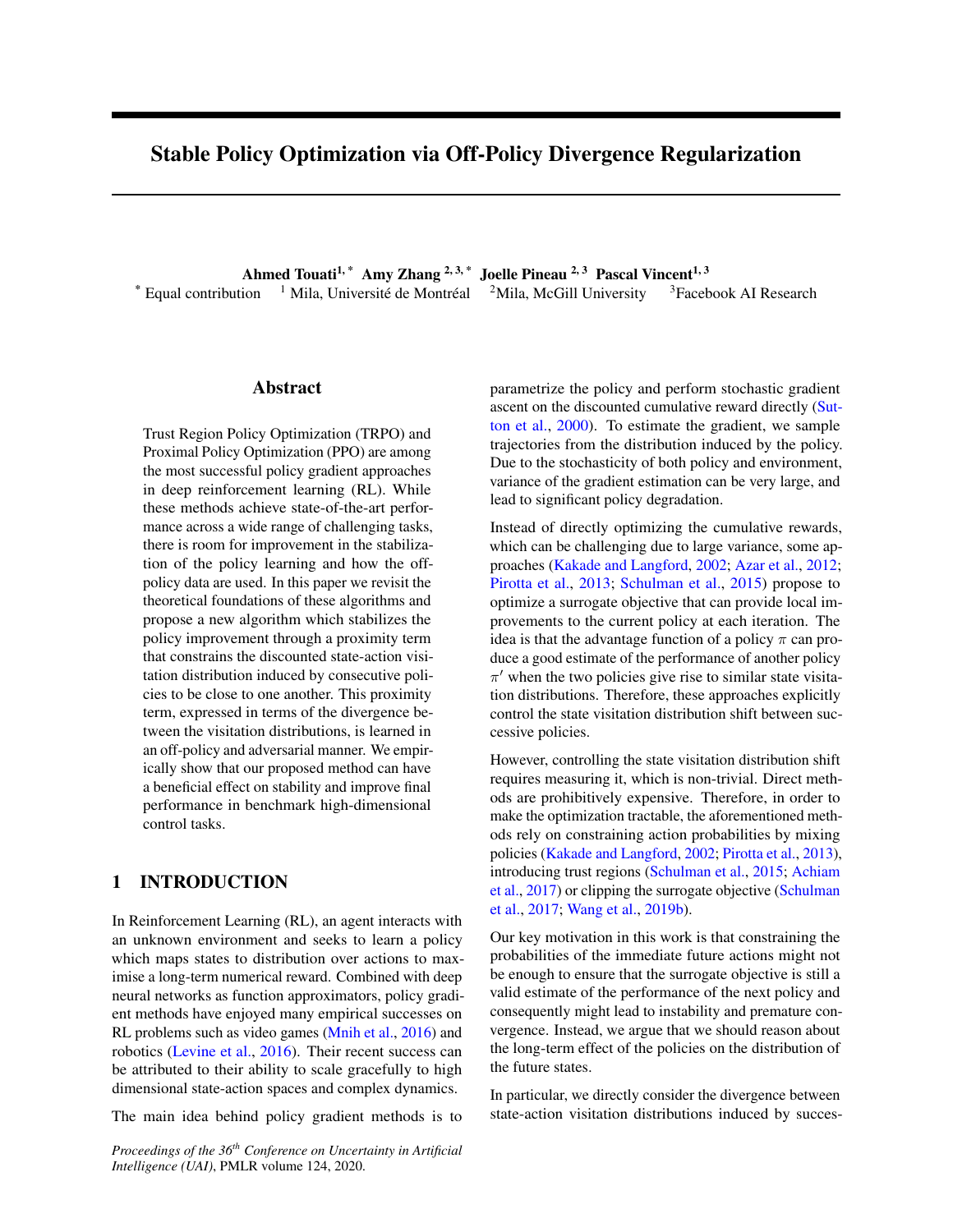rather than just mixture policies. TRPO maximizes thevisit all the states with similar probabilities. The followsame surrogate objective as CPI subject to a Kullbacking lemma more precisely formalizes this Leibler (KL) divergence constraint that ensures the next Lemma 3.1. For all policies and  $\%$ 

policy  $_{i+1}$  stays within -neighborhood of the current policy <sub>i</sub>:

$$
i_{+1} = \arg \max_{\theta} L_{i} \left( \begin{array}{c} 0 \\ 0 \end{array} \right)
$$
\n
$$
s.t E_{s_d} \cdot [D_{KL} \left( \begin{array}{c} 0 \\ 1 \end{array} \right) s)k_{i} \left( j s \right)] ;
$$
\n(4)

 $J( \begin{array}{ccc} \circ \\ \circ \end{array})$   $L( \begin{array}{ccc} \circ \\ \circ \end{array})$   $D_{\mathsf{TV}}(d \begin{array}{ccc} \circ \\ \circ \end{array}kd)$  (6)  $L^{clip}$  (  $\degree$  )  $D_{TV}$  (d  $\degree$ kd );

where  $=$  max $_{\rm s2S}$  jE $_{\rm a}$   $\,$   $_{\rm o(\;js)}$  [A  $\,$  (s; a)] j andD $_{\rm TV}$  is the total variation distance.

where $D_{KL}$  is the Kullback–Leibler divergence. In prac-

tise, TRPO considers a differentiable parameterized polThe proof is provided in appendix for completeness. icy f  $\div$  2 g and solves the constrained problem in parameter space. In particular, the step direction is ble lower bound toJ ( 0 ) as long as and <sup>0</sup> are close in estimated with conjugate gradients, which requires theerms of total variation distance between their correspondcomputation of multiple Hessian-vector products. Thereing state visitation distributions  $\degree$  andd. However, the fore, this step can be computationally heavy. Lemma 3.1 states that ( $9$  (or L<sup>clip</sup> ( $9$ ) is a sensiaforementioned approaches enforce closenessand

To address this computational bottleneck, Proximal Policy and the visitation distributions. This can be justi-ed by the Optimization (PPO) (Schulman et al., 2017) proposes following inequality (Achiam et al., 2017): replacing the KL divergence constrained objective (4) of in terms of their action probabilities rather than their

TRPO by clipping the objective function directly as:

h  
\n
$$
L^{clip}_{i} ( 0) = E_{(s;a)} \quad \text{in} \quad A^{i} (s;a) \quad \underset{i}{\circ} \underset{i}{\circ} (s;a);
$$
\n
$$
A^{i} (s;a) \quad clip \left( \underset{i}{\circ} \underset{i}{\circ} (s;a); 1 \quad ; 1 + \right) \quad ; (5)
$$

where  $> 0$  and  $0_{\epsilon_{i}}(s; a) = \frac{0(s; a)}{1(s; a)}$  $\frac{\tilde{f}(s,a)}{\tilde{f}(s,a)}$  is the importance sampling ratio.

## 3 THEORETICAL INSIGHTS

In this section, we present the theoretical motivation of that we are characterizing a long-horizon quantity, such our proposed method.

rogate performance objective  $\binom{1}{i}$  ( $\frac{1}{i}$ ) for CPI and TRPO andL <sup>clip</sup> (  $\,$  <sup>0</sup>) for PPO) while ensuring that the new policy  $_{i+1}$  stays in the vicinity of the current policy; The

vicinity requirement is implemented in different ways:

- 1. CPI computes a sequence of stochastic policies thati+1 are mixtures between consecutive greedy policies.
- 2. TRPO imposes a constraint on the KL divergence between old policy and new one  $(E_{s_d} : [D_{KL} ( 0 ( j s) k_i ( j s))] )$ .
- 3. PPO directly clips the objective function based on the value of the importance sampling ratio $_{\sf o_{= i}}$  between the old policy and new one.

the policy optimization. In fact, the surrogate objective L  $_1$  ( $_2$ ) (or its clipped version) is valid only in the neighbourhood of the current policy<sub>i</sub>, i.e, when  $^0$  and  $_i$ 

$$
D_{TV} (d^{o}kd) = \frac{2}{1} E_{s d} [D_{TV} (o^{o}(:js)k(:js))]
$$
 : (7)

Plugging the last inequalit $(\sqrt{7})$  into (6) leads to the following lower bound:

J( 
$$
\sqrt[3]{}
$$
 L ( $\sqrt[3]{}$   $\frac{2}{1}$  - E<sub>s d</sub> [D<sub>TV</sub> (  $\sqrt[0]{}$ :js)k (:js)]] : (8)

The obtained lower boun $(8)$  is, however, clearly looser than the one in inequalit $(\sqrt{7})$ . Lower bound(8) suffers from an additional multiplicative facto<del>r  $1$ </del>, which is the effective planning horizon. It is essentially due to the fact

as the state visitation distribution  $(s)$ , by a one-step

At a high level, algorithms CPI, TRPO, and PPO follow quantity, such as the action probabilities j s). Theresimilar policy update schemes. They optimize some surfore, algorithms that rely solely on action probabilities to de ne closeness between policies should be expected to suffer from instability and premature convergence in long-horizon problems.

> Furthermore, in the exact case if we take at iteration  $_{i+1}$  arg max  $_{0}$  L  $_{i}$  (  $^{0}$ )  $^{\shortmid}$  D<sub>TV</sub> (d  $^{\shortmid}$ kd  $^{\shortmid}$  ), then

 $\mathsf{J}(\begin{array}{c} \mathsf{i}_{+1}\end{array})$  **L**  $_{\mathsf{i}}(\begin{array}{c} \mathsf{i}_{+1}\end{array})$  **i**  $\mathsf{D}_{\mathsf{TV}}(\mathsf{d}^{\mathsf{i}_{+1}}\mathsf{k}\mathsf{d}^{\mathsf{i}_{-1}})$ L<sub>i</sub>(i) (by optimality of  $_{i+1}$ )  $= J( )$ 

Such conservative updates are critical for the stability of  $\frac{1}{4}$  in Achiem at al. (2017) Therefore, this provides a monotonic policy improvement, while TRPO suffers from a performance degradation that 1 in Achiam et al. (2017)).

 $2$ The result is not novel, it can be found as intermediate step in proof of theorem 1 in Achiam et al. (2017), for example.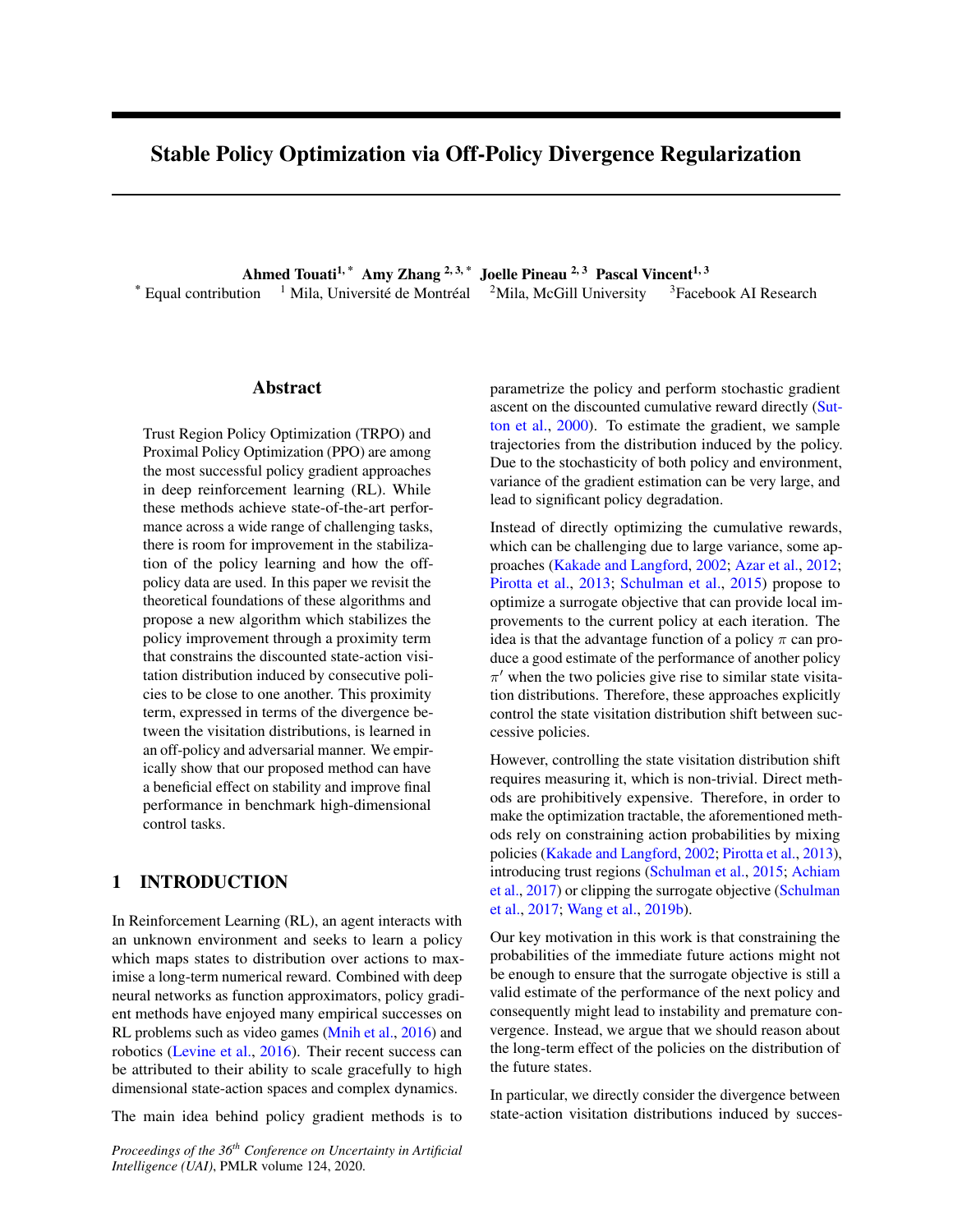It follows from our discussion that  $D_{\mathsf{TV}}$  (d  $\mathrm{^{\circ}kd}$  ) is a more natural proximity term to ensure safer and more stable policy updates. Previous approaches excluded us-D ( ing this term because we don't have access to which would require executing $^0$ in the environment. In the next section, we show how we can leverage recent advances in off-policy policy evaluation to address this issue.

# 4 OFF-POLICY FORMULATION OF **DIVERGENCES**

2017) as

$$
{}^{0}K \quad ) = \sup_{f \, : \, S \, A!} \quad R \quad E_{(s;a)} \quad \text{of } f(s;a)]
$$
\n
$$
E_{(s;a)} \quad [ \quad {}^{?} \quad f(s;a)] \, ; \qquad (10)
$$

where  $^{?}(t) = \sup_{u \geq R} f(u)$  $(u)$ g is the convex conjugate of . The variational form in Equation(10) still requires sampling from  $\degree$ , which we cannot do. To address this issue, we use a clever change of variable trick introduced by Nachum et al. (2019a). De ne

In this section, we explain how divergences between stat $\theta^{~:~\mathsf{S}}$ where experience expressive and expressive convention experience of the contract of the visitation distributions can be approximated. This is done equation, by leveraging ideas from recent works on off-policy learning (Nachum et al., 2019a; Kostrikov et al., 2019). A! R as the xed point of the following Bellman

Consider two different policies and  $\,^0$ . Suppose that we Consider two different policies and  $\%$ . Suppose that we where  $\degree$  is the parishion operator moded by, de ned<br>have access to state-action samples generated by execter  $\degree$  g(s; a) =  $\degree$  (a<sup>0</sup> j s°)P(s<sup>0</sup> j s; a)g(s<sup>0</sup>; ing the policy in the environment, i.e $(s; a)$ As motivated by the last section, we aim to estimate <sup>0</sup> in a modi ed MDP which shares the same transition  $D_{\text{TV}}$  (d  $\text{°}$ kd) without requiring on-policy data from<sup>0</sup>. Note that in order to avoid using importance samplingtion instead of Applying the change of variable 1) ratios, it is more convenient to estimate<sub>V</sub> (  $\degree$ k ), i.e, the total divergence between state-action visitation Nachum et al. (2019a), we obtain distributions rather than the divergence between state viswhereP  $\degree$  is the tansition operator induced b $\theta$ , de ned be interpreted as the action-value function of the policy modelP as the original MDP, but has as the reward functo (10) and after some algebraic manipulation as done in

itation distributions. This is still a reasonable choice D ( asD<sub>TV</sub> (d  $^{\circ}$ kd ) is upper bounded b $\mathbf{p}_{\mathsf{TV}}\left( \begin{array}{c} \circ \mathsf{k} \end{array} \right)$  as shown below:

$$
D_{\text{TV}}\left(\begin{array}{ccc} d & \text{ if } & \text{ if } & \text{ if } & \text{ if } & \text{ if } & \text{ if } & \text{ if } & \text{ if } & \text{ if } & \text{ if } & \text{ if } & \text{ if } & \text{ if } & \text{ if } & \text{ if } & \text{ if } & \text{ if } & \text{ if } & \text{ if } & \text{ if } & \text{ if } & \text{ if } & \text{ if } & \text{ if } & \text{ if } & \text{ if } & \text{ if } & \text{ if } & \text{ if } & \text{ if } & \text{ if } & \text{ if } & \text{ if } & \text{ if } & \text{ if } & \text{ if } & \text{ if } & \text{ if } & \text{ if } & \text{ if } & \text{ if } & \text{ if } & \text{ if } & \text{ if } & \text{ if } & \text{ if } & \text{ if } & \text{ if } & \text{ if } & \text{ if } & \text{ if } & \text{ if } & \text{ if } & \text{ if } & \text{ if } & \text{ if } & \text{ if } & \text{ if } & \text{ if } & \text{ if } & \text{ if } & \text{ if } & \text{ if } & \text{ if } & \text{ if } & \text{ if } & \text{ if } & \text{ if } & \text{ if } & \text{ if } & \text{ if } & \text{ if } & \text{ if } & \text{ if } & \text{ if } & \text{ if } & \text{ if } & \text{ if } & \text{ if } & \text{ if } & \text{ if } & \text{ if } & \text{ if } & \text{ if } & \text{ if } & \text{ if } & \text{ if } & \text{ if } & \text{ if } & \text{ if } & \text{ if } & \text{ if } & \text{ if } & \text{ if } & \text{ if } & \text{ if } & \text{ if } & \text{ if } & \text{ if } & \text{ if } & \text{ if } & \text{ if } & \text{ if } & \text{ if } & \text{ if } & \text{ if } & \text{ if } & \text{ if } & \text{ if } & \text{ if } & \text{ if } & \text{ if } & \text{ if } & \text{ if } & \text{ if } & \text{ if } & \text{ if } & \text{ if } & \text{ if } & \text{ if } & \text{ if } & \text{ if } & \text{ if } & \text{
$$

vergences known as-divergences (Sriperumbudur et al., step in the derivation of Equatiq(12). But in fact any 2009). A -divergence is de ned as,

D (
$$
^{\circ}
$$
k ) = E<sub>(s;a)</sub>  $^{\circ}$   $\frac{(s;a)}{^{\circ}(s;a)}$ ; (9)

where : [0; 1 ) ! R is a convex, lower-semicontinuous express the KL divergence as: function and  $(1) = 0$ . Well-known divergences can be obtained by appropriately choosing These include the KL divergence ( $(t) = t \log(t)$ ), total variation distance  $( t ) = it$ -divergence  $((t) = (t \t 1)^2)$ , etc. Working with the form of -divergence given in Equation (9) requires access to analytic expressions of both and  $\;\;\;$  as well as the ability to sample from  $\degree.$  We have

 $g(s; a) = f(s; a) + P^o g(s; a);$  (11)

$$
{}^{0}K = \sup_{g:S \atop g: S} \begin{matrix} h \\ h \\ h' \end{matrix} \quad R \quad (1 \quad \quad) E_{s \; ;a} \quad {}^{0}[g(s;a)]
$$
  

$$
E_{(s;a)} \quad {}^{?}(g \quad P \circ g)(s;a) \quad : \quad (12)
$$

Thanks to the change of variable, the rst expectation over 0 in  $(10)$  is converted to an expectation over the initial distribution and the policy i. $\mathbf{s}$  ( ); a  $\sqrt[0]{}$  j s). Therefore, this new form of the-divergence  $\ln(12)$  is completely off-policy and can be estimated using only samples from the policy.

The total variation distance belongs to a broad class of di<sub>the variational representation ofdivergences was a key</sub> Other possible divergence representations: Using representation that admits a linear term with respect to

(i.e  $E_{(s;a)}$ o[f (s; a)]) would work as well. For example, one can use the the Donkser-Varadhan representation (Donsker and Varadhan, 1983) to alternatively h

D ( 
$$
{}^{\circ}k
$$
 ) =  $\sup_{f : S A!} \bigcap_{R} \bigcup_{R} \{f(s;a) \} \bigcap_{i} \{f(3; a)\}$  (13)  
log E<sub>(s;a)</sub>  $[\exp(f(s;a))]$  :

none of these in our problem of interest. To bypass thesthan the variational on(12) when working with KL didif culties, we turn to the alternative variational represen-vergences. Because of its genericity fodivergences, tation of -divergences (Nguyen et al., 2009; Huang et al.,we base the remainder of our exposition(6a). But it is Thelog-expected-expin this equation makes the Donkser-Varadhan representation<sup>3</sup>) more numerically stable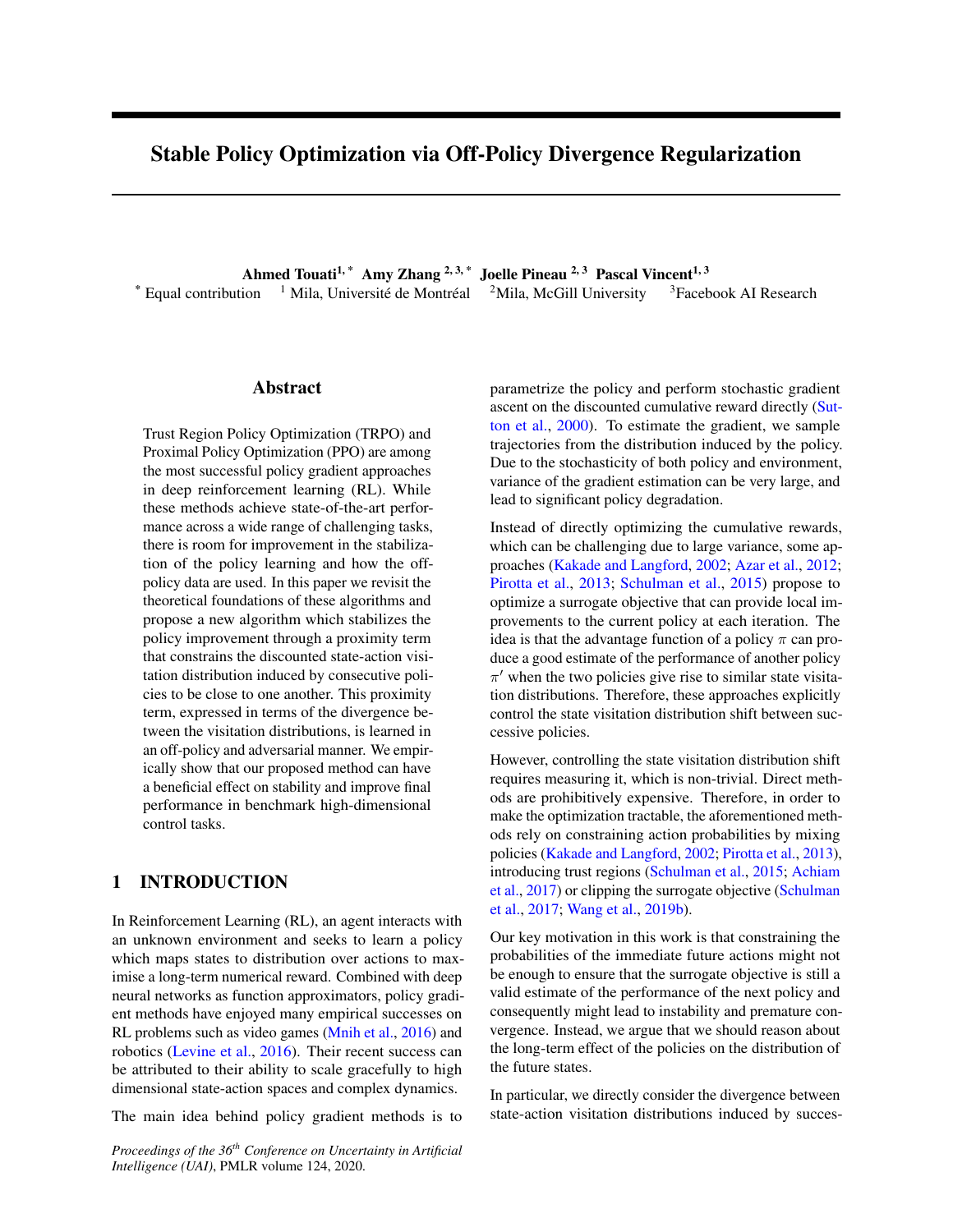straightforward to adapt the approach and algorithm to usAs shown in Algorithm 1, both policy and dising (13) for better numerical stability when working with criminator are parametrized by neural networks KL divergences speci cally. Thus, in practice we will use and g respectively. We estimate the objecti(64) the latter in our experiments with KL-based regularization,with samples from  $\frac{1}{1}$  =  $\frac{1}{1}$  as follows. At a but not in the ones with  $2$ -based regularization. given iteration i, we generate a batch dil roll-

# 5 A PRACTICAL ALGORITHM USING ADVERSARIAL DIVERGENCE

We now turn these insights into a practical algorithm. The lower bounds in lemma 3.1, suggest using a regularized PPO objective: L<sup>clip</sup> ( $9$  D <sub>TV</sub> (d<sup>o</sup>kd), where is a regularization coef cient. If in place of the total variation we use the off-policy formulation of-divergence D (  $\degree$ k ) as detailed in Equatio(12), our main optimization objective can be expressed as the following min-max problem:

given iteration i, we generate a batch dM roll-  
outs 
$$
fs_1^{(j)}; a_1^{(j)}; r_1^{(j)}; s_1^{(j)}; \ldots; s_T^{(j)}; a_T^{(j)}; r_T^{(j)}; s_{T+1}^{(j)} g_{j=1}^M
$$
  
by executing the policy<sub>i</sub> in the environment for steps.  
Similarly to the PPO procedure, we learn a value function  
 $V_1$  by updating its parameters with gradient descent  
steps, optimizing the following squared error loss:

$$
\hat{L}_{V}(!) = \frac{1}{MT} \bigvee_{j=1}^{M} \bigvee_{t=1}^{T} V_{t}(s_{t}^{(j)}) \bigvee_{t}^{(j)} \bigwedge_{t=1}^{T} (16)
$$

where  $y_t^{(j)} = r_t^{(j)} + r_{t+1}^{(j)} + \cdots + r_{t+1}^{(j)} (s_{T+1}).$ Then, to estimate the advantage, we use the truncated generalized advantage estimate

( )<sup>t</sup> <sup>1</sup>(r<sub>t</sub><sup>(j)</sup> + V<sub>!</sub> (s<sub>t+1</sub>) V<sub>!</sub> (s<sub>t</sub><sup>(j)</sup>)):

(17)

XT

 $t = 1$ 

$$
\begin{array}{ccc}\n\text{max} & \text{min} & \text{L}^{\text{clip}} \left( \begin{array}{cc} 0 \\ 1 \end{array} \right) \\
\text{max} & \text{min} & \text{R}^{\text{clip}} \\
\text{min} & \text{min} \\
\text{E}_{(s; a)} & \text{max} \\
\text{sum} & \text{min} \\
\text{sum} & \text{sum} \\
\text{sum} & \text{sum} \\
\text{sum} & \text{sum} \\
\text{sum} & \text{sum} \\
\text{sum} & \text{sum} \\
\text{sum} & \text{max} \\
\text{sum} & \text{sum} \\
\text{sum} & \text{sum} \\
\text{sum} & \text{sum} \\
\text{sum} & \text{sum} \\
\text{sum} & \text{sum} \\
\text{sum} & \text{sum} \\
\text{sum} & \text{sum} \\
\text{sum} & \text{sum} \\
\text{sum} & \text{sum} \\
\text{sum} & \text{sum} \\
\text{sum} & \text{sum} \\
\text{sum} & \text{sum} \\
\text{sum} & \text{sum} \\
\text{sum} & \text{sum} \\
\text{sum} & \text{sum} \\
\text{sum} & \text{sum} \\
\text{sum} & \text{sum} \\
\text{sum} & \text{sum} \\
\text{sum} & \text{sum} \\
\text{sum} & \text{sum} \\
\text{sum} & \text{sum} \\
\text{sum} & \text{sum} \\
\text{sum} & \text{sum} \\
\text{sum} & \text{sum} \\
\text{sum} & \text{sum} \\
\text{sum} & \text{sum} \\
\text{sum} & \text{sum} \\
\text{sum} & \text{sum} \\
\text{sum} & \text{sum} \\
\text{sum} & \text{sum} \\
\text{sum} & \text{sum} \\
\text{sum} & \text{sum} \\
\text{sum} & \text{sum} \\
\text{sum} & \text{sum} \\
\text{sum} & \text{sum} \\
\text{sum} & \text{sum} \\
\text{sum} & \text{sum} \\
\text{sum} & \text{sum} \\
\text{sum} & \text
$$

When the inner minimization over is fully optimized,  $\mathsf{A}(\mathsf{s}_{\mathsf{t}}^{(\mathsf{j}\,)};\mathsf{a}_{\mathsf{t}}^{(\mathsf{j}\,)})$  =

it is straightforward to show – using the score function estimator – that the gradient of this objective with respect This advantage estimate is used to compute an estimate to is (proof is provided in appendix): of L $_{\shortparallel}^{\text{clip}}$  given by:

r o
$$
L^{clip}(9) (1) E_s {g(s; a)r o log0(a j s)]  $\Delta^{clip}( ) =$   
+ E<sub>(s;a)</sub> i  $\frac{\omega^2}{\omega t}$  (g P<sup>0</sup>g)(s; a) (15)  $\frac{1}{MT} \sum_{j=1}^{M} \sum_{t=1}^{T} n_{A(s_t^{(j)}; a_t^{(j)})} = {}_{;s}(s_t^{(j)}; a_t^{(j)});$   
+ E<sub>s<sup>0</sup> P(js;a);a<sup>0</sup> O(js<sup>0</sup>) [g(s<sup>0</sup>, a<sup>0</sup>)r o log<sup>0</sup>(a<sup>0</sup>j s<sup>0</sup>)] :  
 $A(s_t^{(j)}; a_t^{(j)}) clip( ) = {}_{;s}(s_t^{(j)}; a_t^{(j)}); 1 ; 1 + )$</sub>
$$

Furthermore, we can use the reparametrization trick if the

policy is parametrized by a Gaussian, which is usually the case in continuous control tasks. We call the resulting he parameters of the discriminator are learned by new algorithm PPO-DICE, (detailed in Algorithm 1), as gradient descent on the following empirical version of the it uses the clipped loss of PPO and leverages the DIsegularization term in the min-max objective (14) tribution Correction Estimation idea from Nachum et al. (2019a).

In the min-max objective  $(14)$ , g plays the role of a discriminator, as in Generative Adversarial Networks (GAN) (Goodfellow et al., 2014). The policy<sup>0</sup> plays the role of a generator, and it should balance between increasing the likelihood of actions with large advantage versus inducing a state-action distribution that is close to therea  $a_l^{(j)}$  ( j s  $s_l^{(j)}$  and  $a_{t+1}^{(j)}$  ( j s  $s_{t+1}^{(j)}$  ). the one of  $_1$  .  $\mathsf{L}_{\mathsf{D}}$ 

$$
D(i; ) = \frac{1}{MT} \begin{pmatrix} M & X^T \\ j=1 & t=1 \end{pmatrix} (1) \quad \text{(s)} \quad (s_1^{(j)}; a_t^{(j)}) \quad \text{(19)}
$$
\n
$$
\begin{pmatrix} 0 & Y^T \\ 0 & S_t^{(j)} \\ 0 & S_t^{(j)} \end{pmatrix} \quad \text{(10)}
$$
\n
$$
\begin{pmatrix} S_t^{(j)} & Y^T \\ 0 & S_t^{(j)} \\ 0 & S_t^{(j)} \end{pmatrix} \quad \text{(11)}
$$

<sup>3</sup> Both regularized  $C_{\text{i}}^{\text{clip}}$  andL  $_{\text{i}}$  are lower bounds on policy performance in Lemma  $3.1$ . We use  $e^{i\beta}$  rather than  $\alpha$  beperformance in Lemma 3.1, we use<sup>r</sup> rather than upper parameters of the policy are updated via gradient as-<br>cause we expect it to work better as the clipping already provides and an the abiastic Clip (e) and clip as we eas some constraint on action probabilities. Also this will allow a Cent on the objective  $\mathcal{L}^{\text{clip}}($   $) +$   $\mathcal{L}_{\text{D}}($  ;  $)$  as we can ence constraint of action preservatives these interments in the contraction and gradient though the action sampling while brings compared to vanilla PPO. If the reparametrization trick is applicable (which is almost always the case for continuous control tasks), the  $\stackrel{\text{\rm S}}{\text{\rm cent}}$  on the objectiv $\stackrel{\text{\rm def}}{\text{\rm e}}^{\text{\rm clip}}($   $)$  +  $\stackrel{\text{\rm c}}{\text{\rm th}}$  $\mathsf{computing}^{\mathsf{X}}_{\mathsf{D}}$  (; ) in Equation(19). Otherwise, are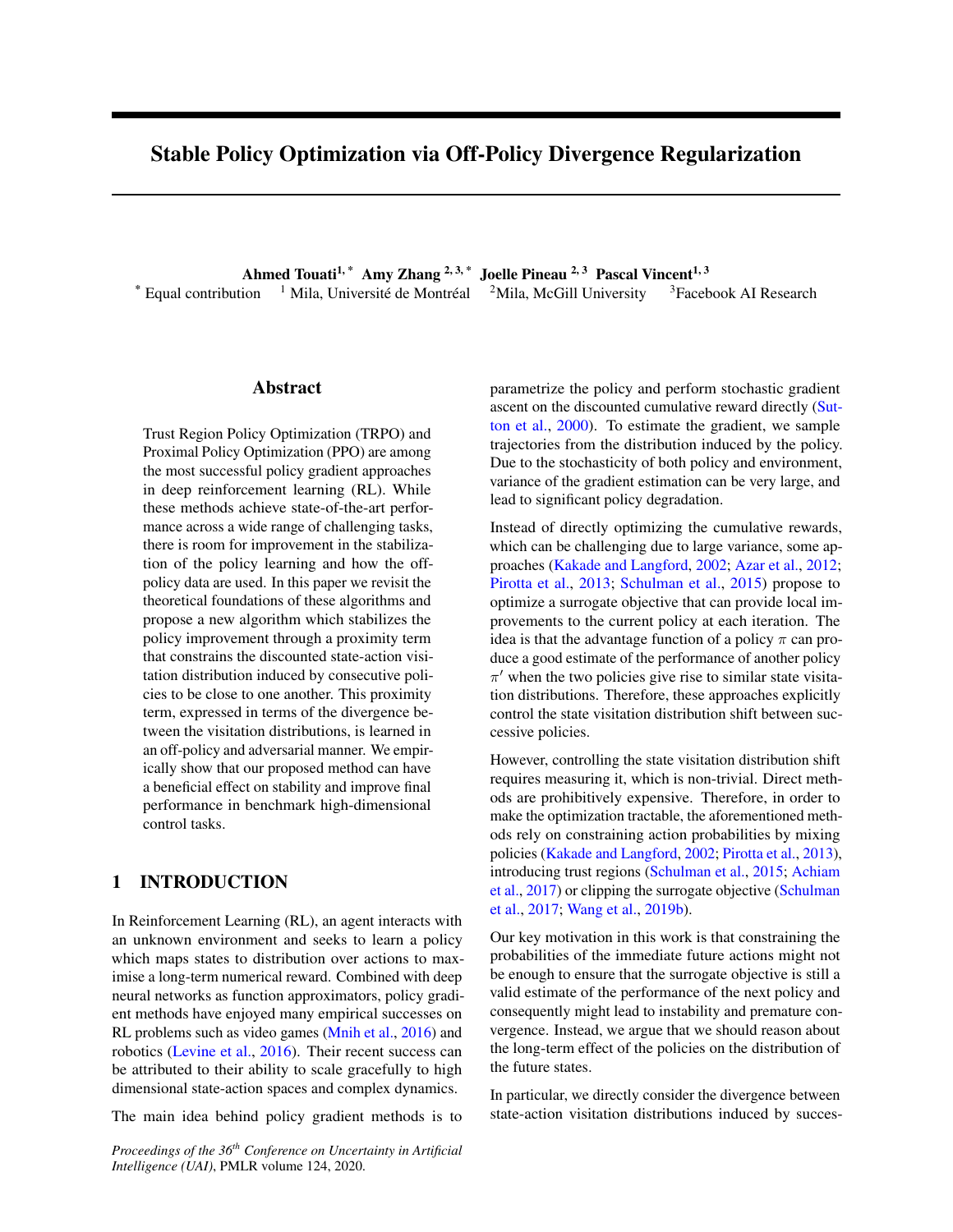Algorithm 1 PPO-DICE

1: Initialisation : random initialize parameters (policy),  $\frac{1}{1}$  (discriminator) and  $\frac{1}{1}$  (value function). 2: for  $i=1, \ldots$  do 3: Generate a batch **M** rolloutsf s $_1^{(j)}; a_1^{(j)}; r_1^{(j)}; s_1^{(j)}; \ldots; s_T^{(j)}; a_T^{(j)}; r_T^{(j)}; s_{T+1}^{(j)}$  by executing policy  $\frac{1}{1}$  in the environment foll steps. 4: Estimate Advantage function  $\mathbf{R}(s_t^{(i)}; a_t^{(i)}) = \begin{bmatrix} P_{T_t}^T \\ t_{t-1}^{(i)} \end{bmatrix}$  ( $\mathbf{R}(r_t^{(i)} + \mathbf{V}_{T_t}(s_{t+1}^{(i)}) \mathbf{V}_{T_t}(s_t^{(i)}))$ 5: Compute target valu $\mathbf{g}_{i}^{(j)} = r_{t}^{(j)} + r_{t+1}^{(j)} + \cdots + r_{t+1}^{T+1}$  tV<sub>! i</sub> (s<sub>T+1</sub>) 6:  $!= !_1; = |_1; = |_1;$ 7: for epoch n=1, ... Ndo 8: for iteration k=1, ... Kdo 9: // Compute discriminator loss: 10:  $\mathbb{C}_{\mathsf{D}}$  (; ) =  $\frac{1}{\mathsf{M}\mathsf{T}}$  $\overline{P}$  M  $\overline{P}$  T  $\overline{P}$  1  $\overline{P}$  1  $\overline{P}$  1  $\overline{q}$  1  $\overline{q}$  (s<sub>t+1</sub>; a<sub>t+1</sub>) (1 )g (s<sub>1</sub><sup>(j)</sup>; a<sub>t</sub><sup>(j)</sup>) where  $\mathsf{a}_{\mathsf{t}}^{\mathsf{Q}(\mathsf{j}\;)}$ (  $j s_1^{(j)}$ );  $a_{t+1}^{(j)}$  (  $j s_{t+1}^{(j)}$ ). 11: // Update discriminator parameters: (using learning rate ) 12: c r  $\mathcal{L}_{\mathsf{D}}( ; )$ ; 13: end for 14: // Compute value loss: 15:  $\int_{V}^{1} (1 + 1) dx = \frac{1}{MT}$  $P_{\substack{N \ j=1}} P_{\substack{T \ j=1}} V_1 (s_t^{(j)}) y_t^{(j)}$ 2 16: // Compute PPO clipped loss: 17:  $\mathsf{L}^{\text{clip}}( ) = \frac{1}{\mathsf{MT}}$  $P \text{ with } T \text{ is the probability of } P$  =  $\frac{1}{1 - 1}$  min  $\mathbf{A}(s_t^{(i)}; a_t^{(i)}) = \frac{1}{1 - 1} (s_t^{(i)}; a_t^{(i)})$ ;  $\mathbf{A}(s_t^{(i)}; a_t^{(i)})$ ;  $\mathbf{A}(s_t^{(i)}; a_t^{(i)})$ ;  $\mathbf{A}(s_t^{(i)}; a_t^{(i)})$  $; 1 + 1$ 18: // Update parameters:(using learning rate) 19:  $\qquad$  !  $\qquad$  !  $\qquad$  r  $\lfloor \mathcal{L}_{\vee} (!) \rceil$ 20: + r  $(\triangle^{\text{clip}}() +$  $\mathcal{L}_{\text{D}}$  (; )) (if reparametrization trick applicable, else gradient step on Eq. 20) 21: end for 22:  $!_{i+1} = !$ ;  $_{i+1} =$  ;  $_{i+1} =$ 23: end for

updated via gradient ascent on the following objective: Choice of divergence: The algorithmic approach we

$$
\begin{array}{ll}\n\sum_{i=1}^{N} (1 \text{ or } (s_i^{(j)}; a_i^{(j)}) \log (a_i^{(j)}; s_i^{(j)}) \\
\hline\n\frac{1}{N} \prod_{j=1 \text{ } t=1}^{n} (1 \text{ or } (s_i^{(j)}; a_i^{(j)}) \log (a_i^{(j)}; s_i^{(j)}) \\
+ \frac{1}{N} \prod_{i=1 \text{ } j}^{n} (s_i^{(j)}; a_i^{(j)}) \prod_{i=1 \text{ } j}^{n} (s_{t+1}^{(j)}; a_{t+1}^{(j)}) \\
\hline\n\frac{1}{N} \prod_{i=1 \text{ } j}^{n} (s_{t+1}^{(j)}; a_{t+1}^{(j)}) \log (a_{t+1}^{(j)}) \prod_{i=1 \text{ } j}^{n} (s_{t+1}^{(j)})\n\end{array}
$$

just described is valid with any choice of divergence for measuring the discrepancy between state-visitation distributions. It remains to choose an appropriate one. While Lemma 3.1 advocates the use of total variation distance  $($   $(t) = it - 1$ ; it is notoriously hard to train high dimensional distributions using this divergence (see Kodali et al. (2017) for example). Moreover, the convex conjugate of (t) = jt 1 j is  $?$  (t) = t if jtj  $\frac{1}{2}$  and  $?$  (t) = 1 otherwise. This would imply the need to introduce an

Note that the gradient of this equation with respect to corresponds to an empirical estimate of the score function hich may be hard to optimize. estimator we provided in Equation 15. extra constraining  $P$  gk<sub>1</sub>  $\frac{1}{2}$  in the formulation(12),

We train the value function, policy, and discriminator  $t \log(t)$ ;  $^2(t)$  = exp( $t$  1)). This is still a well for N epochs usingM rollouts of the policy i. We can either alternate between updating the policy and the discriminator, or update for a few stepsM before updating the policy. We found that the latter worked will also try <sup>2</sup>-divergence ((t) =  $($  t  $-1)^2$ ) that yields better in practice, likely due to the fact that the target a squared regularization term.distribution  $\rightarrow$  changes with every iteration We also found that increasing the learning rate of the discriminator by a multiplicative factor of the learning rate for the policy and value function improved performance. Therefore, we will instead use the KL divergencet $\phi$  = justi-ed choice as we know thaD<sub>TV</sub> (  $\degree$ k )  $\frac{1}{2}D_{\text{KL}}$  (  $\mathrm{O}^{\circ}$ k ) thanks to Pinsker's inequality. We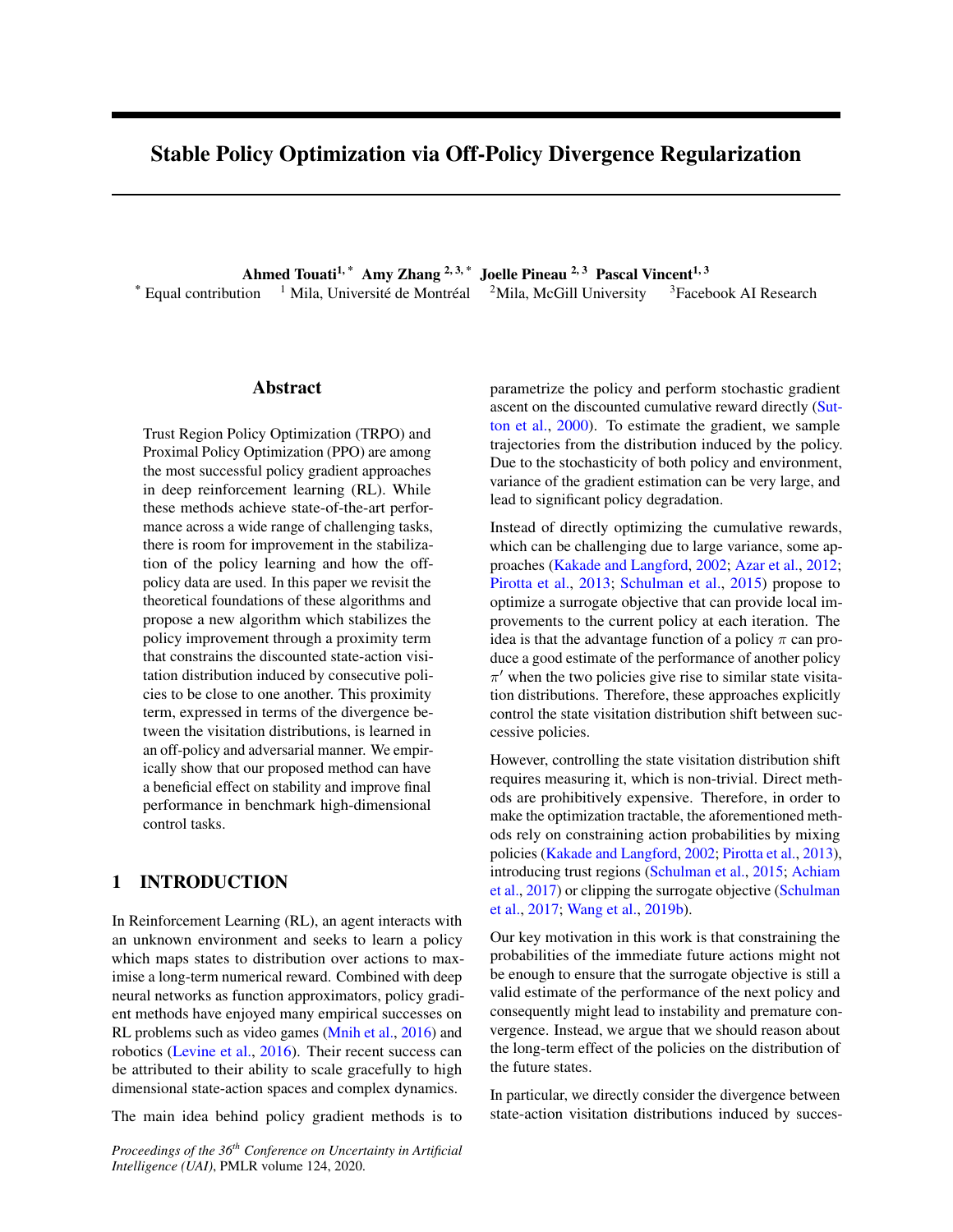# 6 RELATED WORK

Constraining policy updates, in order to minimize the information loss due to policy improvement, has been an active area of investigation. Kakade and Langford (2002) originally introduce CPI by maximizing a lower bound on the policy improvement and relaxing the greedi cation step through a mixture of successive policies. Pirotta et al. (2013) build on Kakade and Langford (2002) re ne the

lower bounds and introduce a new mixture scheme. MoreFigure 1: Comparison of<sup>2</sup> and KL divergences for PPOover, CPI inspired some popular Deep RL algorithms DICE for two randomly selected environments in OpenAI such as TRPO (Schulman et al., 2015) and PPO (Schußym MuJoCo and Atari, respectively. We see that KL man et al., 2015), Deep CPI (Vieillard et al., 2019) andperforms better than<sup>2</sup> in both settings. Performance MPO (Abdolmaleki et al., 2018). The latter uses similar plotted across 10 seeds with 1 standard error shaded. updates to TRPO/PPO in the parametric version of its E-step. So, our method can be incorporated to it.

Our work is related to regularized MDP literature (Neu tive (lower bound on the policy performance). Moreover, et al., 2017; Geist et al., 2019). Shannon Entropic regu-our method is online off-policy in that we collect data larization is used in value iteration scheme (Haarnoja difference as a model of the control of the entrycal also use previous data to improve stability. Whereas, their<br>et al., 2017; Dai et al., 2018) and in policy iteration also given in decimental learn a policy from a weddet schemes (Haarnoja et al., 2018). Note that all the men-allocted by help signed to learn a policy from a xed dataset conomos (Haamoja of all, 2010). Note that all the more collected by behaviour policies. Further comparison with<br>tioned works employ regularization on the action probabil-almed DCF is not that in concentiu abilies worker only by regularization on the abilion probability AlgaeDICE is provided in appendix.<br>ities. Recently, Wang et al. (2019a) introduce divergencearization is used in value iteration scheme (Haarnoja<sup>w</sup>ith each policy found in the optimization procedure, but

augmented policy optimization where they penalize the policy update by a Bregman divergence on the state visitation distributions, motivated the mirror descent method.

While their framework seems general, it doesn't include.<br>the divergances we employ in our clasrithm, In feet We use the PPO implementation by Kostrikov (2018) as a the divergences we employ in our algorithm. In fact, their method enables the use of the digentional KL di-<br>their method enables the use of the ditional KL divergence between state-action visitations distribution dereigenc<sub>k</sub> ned by (s; a) log  $\frac{(\text{ajs})}{\sqrt{(\text{ajs})}}$  and not the KL divergence R (s; a) log  $-\frac{(s;a)}{^0(s;a)}$ . Note the action probabilities ratio inside thelog in the conditional KL divergence allows DICE algorithm. We run experiments on a randomly selected subset of environments in the Atari suite (Bellemare et al., 2013) for high-dimensional observations and discrete action spaces, as well as on the OpenAI Gym (Brockman et al., 2016) MuJoCo environments, which

them to use the policy gradient theorem, a key ingredi<sup>have</sup> continuous state-action spaces. All shared hyperent in their framework, which cannot be done for the KL parameters are set at the same values for both methods, divergence. and we use the hyperparameter values recommended by

Our work builds on recent off-policy approaches: MuJoCo<sup>4</sup>. DualDICE (Nachum et al., 2019a) for policy evaluation and ValueDICE (Kostrikov et al., 2019) for imitation Kostrikov (2018) for each set of environments, Atari and

7.1 IMPORTANT ASPECTS OF PPO-DICE

gence. The former uses the formulation to estimate the 7.1.1 Choice of Divergence

ratio of the state visitation distributions under the target

learning. Both use the off-policy formulation of KL diver-

and behavior policies. Whereas, the latter learns a polic $\psi$ e conducted an initial set of experiments to compare by minimizing the divergence. two different choices of divergences, KL and, for

The closest related work is the recently proposed Al<sup>the</sup> regularization term of PPO-DICE. Figure 1 shows gaeDICE (Nachum et al., 2019b) for off-policy policy training curves for one continuous action and one discrete optimization. They use the divergence between statection environment. There, as in the other environments in action visitation distribution induced by and a behavior which we run this comparison, KL consistently performed distribution, motivated by similar techniques in Nachum better than <sup>2</sup>. We thus opted to use KL divergence in all et al. (2019a). However, they incorporate the regularsubsequent experiments. ization to the dual form of policy performand  $\phi$  ) =

 $E_{(s;a)}$ [r (s; a)] whereas we consider a surrogate objec- <sup>4</sup>Code: https://github.com/facebookresearch/ppo-dice

# **EXPERIMENTS AND RESULTS**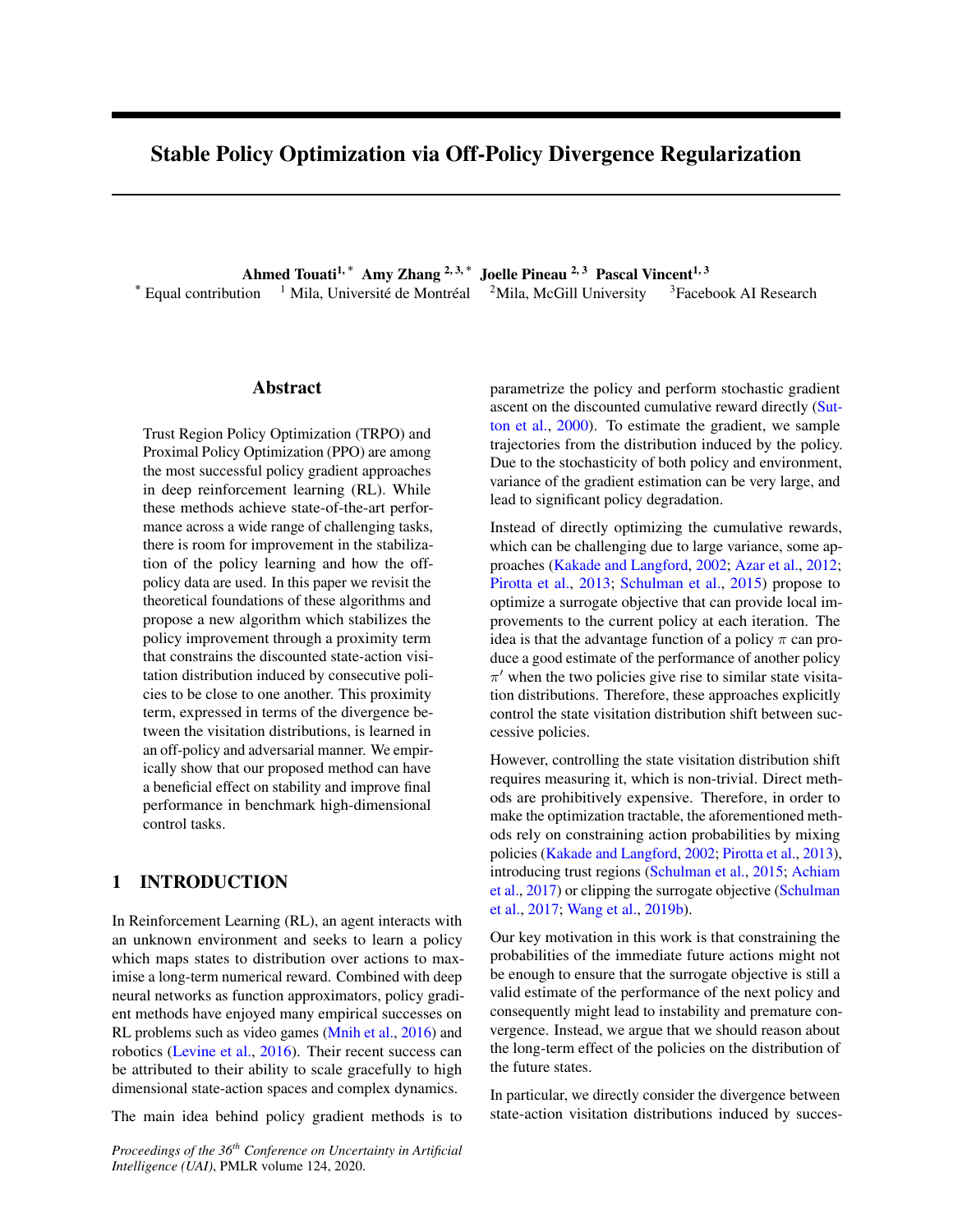#### 7.1.2 Effect of Varying

well.

extra regularizing measure proposed in PPO (Schulman et al., 2017). For our algorithm also, we hypothesized that it would be important for providing additional constraints on the policy update to stay within the trust region. Figure 3 con rms this empirically: we see the effect on our method of clipping the action loss versus keeping it unclipped. Initially, not having the additional regularization allows it to learn faster, but it soon crashes, showing the need for clipping to reduce variance in the policy update.

#### 7.2 RESULTS ON ATARI

Figure 2: Varying in Hopper\_v2 , 10 seeds, 1 standard error shaded. PPO-DICE is somewhat sensitive talue, but the theoretically-motivated adaptive version works additional hyperparameters, the learning rate for the dis-Given our above observations we settled on using a KLregularizedL<sup>clip</sup>, with the adaptive method for that we explained Section 7.1.2. We run PPO-DICE on randomly selected environments from Atari. We tuned two criminator and the number of discriminator optimization

Next we wanted to evaluate the sensitivity of our methoddiscriminator optimization steps per policy optimization to the parameter that controls the strength of the regstep performed well. Fewer steps showed worse perforularization. We examine in Figure 2 the performance<sub>mance because the discriminator was not updating quickly</sub> of PPO-DICE when varying. There is a fairly narrow band forHopper-v2 that performs well, betweet 01 and1. Theory indicates that the proper value fois the maximum of the absolute value of the advantages (seearning rate to be = 10 the policy learning rate Lemma 3.1). This prompted us to implement an adaptivehelped most environments. We used the same hyperpaapproach, where we compute the 90th percentile of adameters across all environments. Results are shown in vantages within the batch (for stability), which we found Table 1. We see that PPO-DICE signi cantly outperperformed well across environments. To avoid introducforms PPO on a majority of Atari environments. See ing an additional hyperparameter by tuning we use the adaptive method for subsequent experiments. steps per policy optimization step. We found that  $5$ enough, while more optimization steps introduced instability from the discriminator over tting to the current batch. We also found that increasing the discriminator Appendix C.2 for training curves and hyperparameters.

#### 7.3 RESULTS ON OpenAI Gym MuJoCo

For the OpenAI Gym MuJoCo suite, we also used 5 discriminator optimization steps per policy optimization step, and  $\epsilon = 10$  learning rate for the discriminator in all environments. We selected 5 of the more dif cult environments to showcase in the main paper (Figure 4), but additional results on the full suite and all hyperparameters used can be found in Appendix C.1. We again see improvement in performance in the majority of environments with PPO-DICE compared to PPO and TRPO.

Figure 3: Comparison of PPO-DICE with clipped loss 8 L<sup>clip</sup> and withoutL. We see that clipping the action loss is crucial for good performance.

#### 7.1.3 Importance of Clipping the Action Loss

# **CONCLUSION**

In this work, we have argued that using the action probabilities to constrain the policy update is a suboptimal approximation to controlling the state visitation distribution shift. We then demonstrate that using the recently proposed DIstribution Correction Estimation idea (Nachum

We earlier mentioned (see Footnote 3) two possible formset al., 2019a), we can directly compute the divergence of our regularized objective: one with clipped action loss between the state-action visitation distributions of suc-L<sup>clip</sup> and one withou**t**. Clipping the action loss was an cessive policies and use that to regularize the policy opti-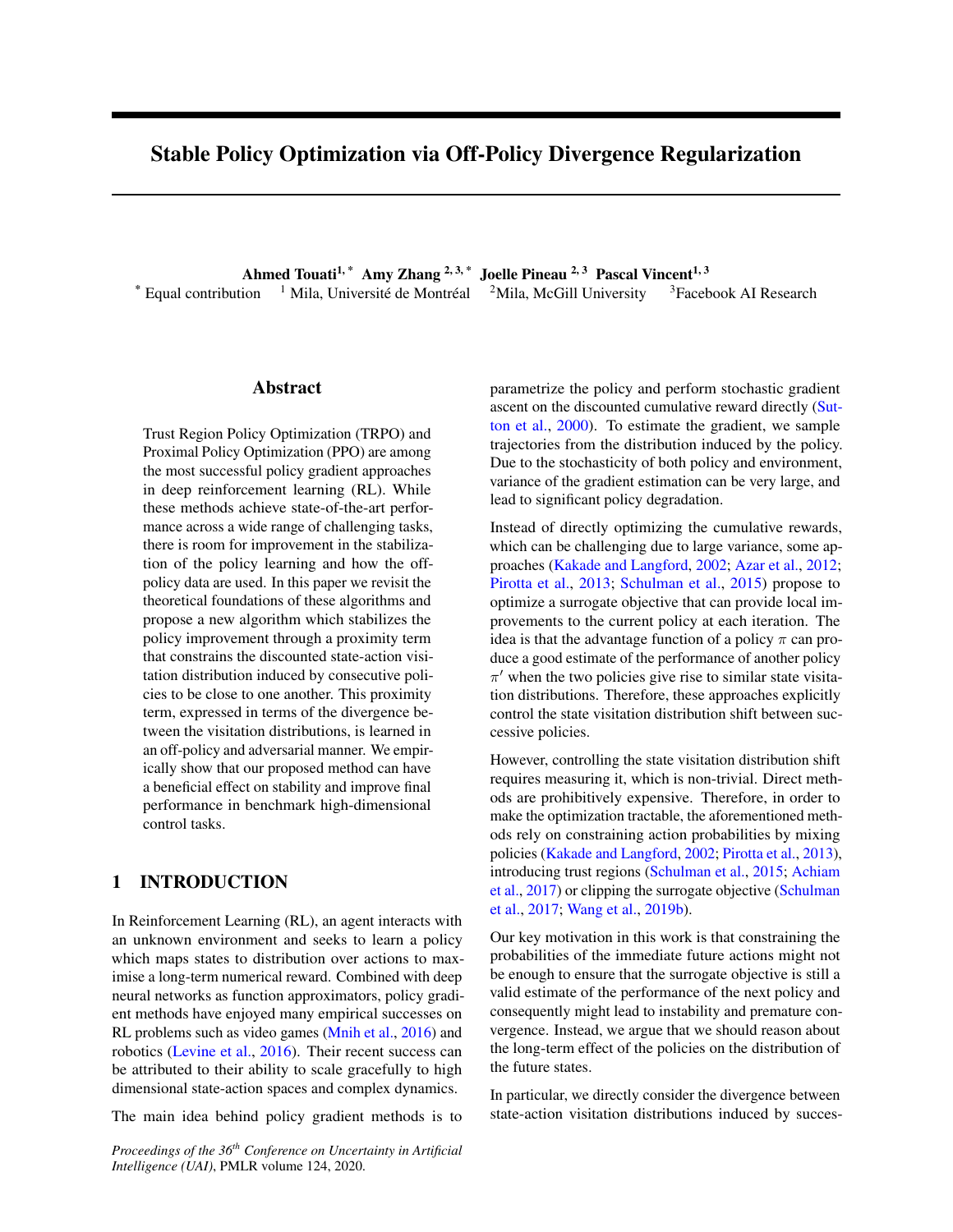| Game              | <b>PPO</b>           | <b>PPO-DICE</b>         |
|-------------------|----------------------|-------------------------|
| AirRaid           | 43050<br>63815       | 769:19<br>5217:5        |
| Asterix           | 43000<br>16931       | 6200:0<br>754:10        |
| Asteroids         | 1511:0<br>12503      | 1653:0<br>112:20        |
| Atlantis          | 21204000<br>47160993 | 100105:82<br>3447433:33 |
| <b>BankHeist</b>  | 1247.0<br>21:36      | 1273:33<br>7:89         |
| <b>BattleZone</b> | 29000:0<br>2620:43   | 190000<br>246306        |
| Carnival          | 324333<br>369.51     | 30800<br>189.81         |
| ChopperCommand    | 56667<br>14:91       | 900:0<br>77:46          |
| <b>DoubleDunk</b> | 6:0<br>1:62          | 4:0<br>1:26             |
| Enduro            | 73:18<br>11299       | 120:09<br>1308:33       |
| Freeway           | 32:33<br>0:15        | 0:00<br>320             |
| Frostbite         | 334:28<br>639:0      | 29667<br>5:96           |
| Gopher            | 13880<br>387:65      | 14140<br>417:84         |
| Kangaroo          | 40600<br>53930       | 6650:0<br>1558:16       |
| Phoenix           | 621:71<br>12614:0    | 1167667<br>58824        |
| Robotank          | 1:33<br>7:8          | 12:1<br>2:91            |
| Seaquest          | 11980<br>12882       | 13000<br>12397          |
| TimePilot         | 50700<br>580.53      | 7000:0<br>562:32        |
| Zaxxon            | 7110:0<br>841:60     | 111248<br>61300         |

Table 1: Mean nal reward and 1 standard error intervals across 10 seeds for Atari games evaluated at 10M steps.

Figure 4: Results from OpenAI Gym MuJoCo suite in more complex domains, with 10 seeds and 1 standard error shaded. Results on the full suite of environments can be found in Appendix C.1.

| experiments, we have shown that our method beats PPO ference Track Proceeding©penReview.net.                 | mization objective instead. Through carefully designed Vancouver, BC, Canada, April 30 - May 3, 2018, Con-                                                                                                                                                            |
|--------------------------------------------------------------------------------------------------------------|-----------------------------------------------------------------------------------------------------------------------------------------------------------------------------------------------------------------------------------------------------------------------|
| OpenAI Gym MuJoCo (Brockman et al., 2016) bench-<br>marks.                                                   | in most environments in Atari (Bellemare et al., 2013) and Achiam, J., Held, D., Tamar, A., and Abbeel, P. (2017).<br>Constrained policy optimization. IProceedings of the<br>34th International Conference on Machine Learning-<br>Volume 70 pages 22-31. JMLR. org. |
| Acknowledgements<br>9<br>We would like to thank O r Nachum and Ilya Kostrikov                                | Azar, M. G., Gómez, V., and Kappen, H. J. (2012). Dy-<br>namic policy programming Journal of Machine Learn-<br>ing Research13(Nov):3207-3245.                                                                                                                         |
| at the early stage of the project.<br>References                                                             | for their helpful feedback and advice during discussions Bellemare, M. G., Naddaf, Y., Veness, J., and Bowling,<br>M. (2013). The arcade learning environment: An eval-<br>uation platform for general agents. Artif. Int. Res.<br>47(1):253-279.                     |
| R., Heess, N., and Riedmiller, M. A. (2018). Maximum<br>a posteriori policy optimisation. I6th International | Abdolmaleki, A., Springenberg, J. T., Tassa, Y., Munos, Brockman, G., Cheung, V., Pettersson, L., Schneider,<br>J., Schulman, J., Tang, J., and Zaremba, W. (2016).<br>Openai gym.                                                                                    |

Conference on Learning Representations, ICLR 2018Dai, B., Shaw, A., Li, L., Xiao, L., He, N., Liu, Z.,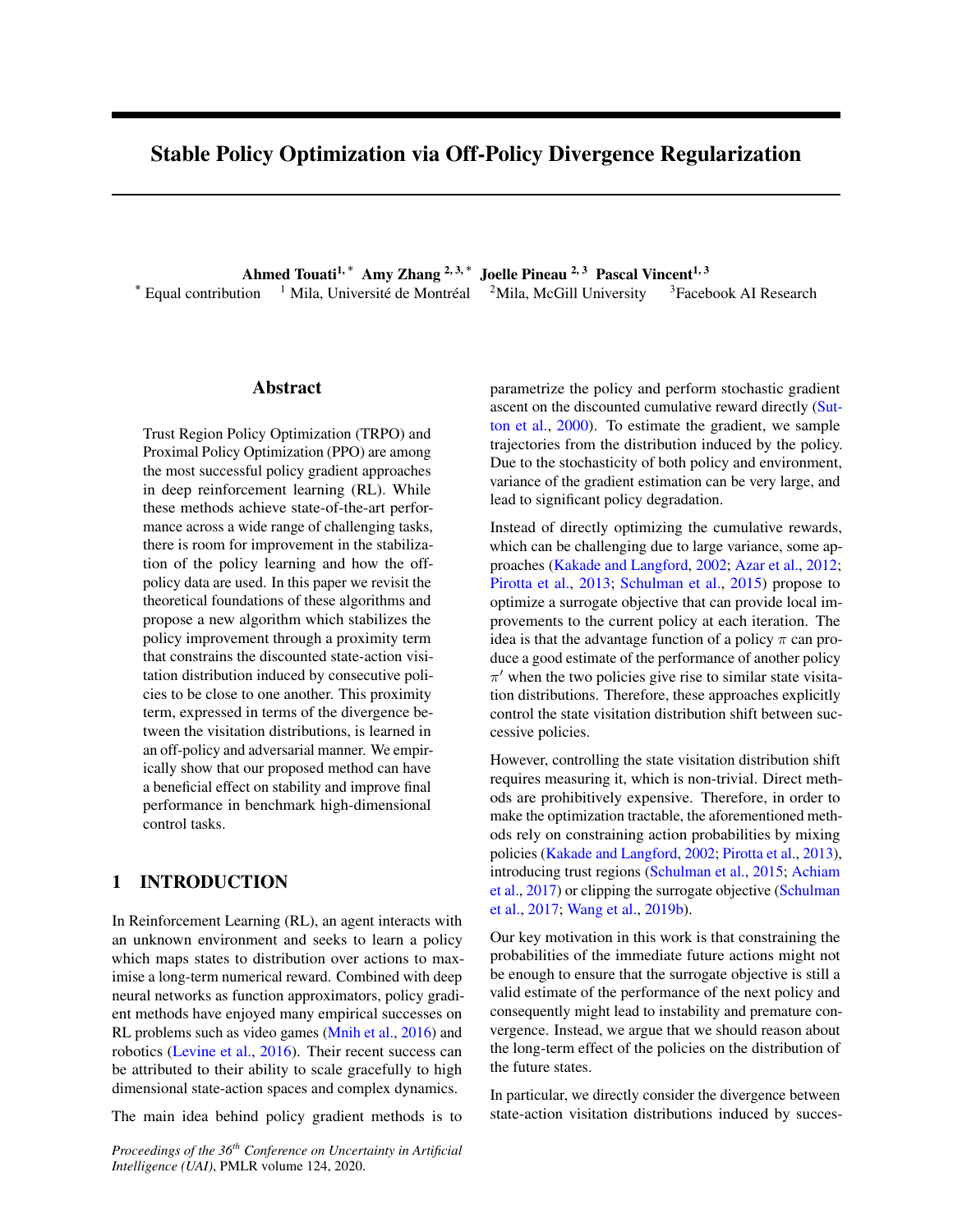forcement learning with nonlinear function approximation. In International Conference on Machine Learning pages 1125–1134.

- Donsker, M. D. and Varadhan, S. S. (1983). Asymptotic evaluation of certain markov process expectations for large time. iv.Communications on Pure and Applied Mathematics36(2):183-212.
- Geist, M., Scherrer, B., and Pietquin, O. (2019). A theory of regularized markov decision processes.In International Conference on Machine Learning ages 2160–2169.

Goodfellow, I., Pouget-Abadie, J., Mirza, M., Xu, B., Warde-Farley, D., Ozair, S., Courville, A., and Bengio, Y. (2014). Generative adversarial nets. Advances in neural information processing systemages 2672– 2680.

Haarnoja, T., Tang, H., Abbeel, P., and Levine, S. (2017)Pirotta, M., Restelli, M., Pecorino, A., and Calandriello, Reinforcement learning with deep energy-based policies. InProceedings of the 34th International Conference on Machine Learning-Volume 70 ages 1352– 1361. JMLR. org.

Haarnoja, T., Zhou, A., Abbeel, P., and Levine, S. (2018). Soft actor-critic: Off-policy maximum entropy deep reinforcement learning with a stochastic actor. In International Conference on Machine Learningages 1861–1870.

Huang, G., Berard, H., Touati, A., Gidel, G., Vincent, ang, O., Berard, H., Todali, A., Oldel, O., Vincent, Schulman, J., Wolski, F., Dhariwal, P., Radford, A., and<br>P., and Lacoste-Julien, S. (2017). Parametric adver- *Klimov, O. (2017). Provimal policy optimization algo* sarial divergences are good task losses for generative modeling.arXiv preprint arXiv:1708.02511. rithms. arXiv preprint arXiv:1707.06347.

timal approximate reinforcement learning. IDML, volume 2, pages 267–274.

Kodali, N., Abernethy, J., Hays, J., and Kira, Z. (2017). Sutton, R. S., McAllester, D. A., Singh, S. P., and Man-On convergence and stability of ganasXiv preprint arXiv:1705.07215.

Kostrikov, I. (2018). Pytorch implementations of reinforcement learning algorithms. https://github.com/ikostrikov/ pytorch-a2c-ppo-acktr-gail .

Kostrikov, I., Nachum, O., and Tompson, J. (2019). Imitation learning via off-policy distribution matching. Wang, Q., Li, Y., Xiong, J., and Zhang, T. (2019a). arXiv preprint arXiv:1912.05032.

Levine, S., Finn, C., Darrell, T., and Abbeel, P. (2016). End-to-end training of deep visuomotor policieshe Journal of Machine Learning Research7(1):1334-1373.

Mnih, V., Badia, A. P., Mirza, M., Graves, A., Lillicrap, T., Harley, T., Silver, D., and Kavukcuoglu, K. (2016).

Chen, J., and Song, L. (2018). Sbeed: Convergent rein-Asynchronous methods for deep reinforcement learning. In International conference on machine learning pages 1928–1937.

> Nachum, O., Chow, Y., Dai, B., and Li, L. (2019a). Dualdice: Behavior-agnostic estimation of discounted stationary distribution corrections. Advances in Neural Information Processing Systemsages 2315–2325.

> Nachum, O., Dai, B., Kostrikov, I., Chow, Y., Li, L., and Schuurmans, D. (2019b). Algaedice: Policy gradient from arbitrary experiencearXiv preprint arXiv:1912.02074.

> Neu, G., Jonsson, A., and Gómez, V. (2017). A uni-ed view of entropy-regularized markov decision processes. arXiv preprint arXiv:1705.07798.

Nguyen, X., Wainwright, M. J., Jordan, M. I., et al. (2009). On surrogate loss functions and f-divergences be-Annals of Statistics37(2):876-904.

D. (2013). Safe policy iteration. International Conference on Machine Learningages 307-315.

Puterman, M. L. (1990). Markov decision processes. Handbooks in operations research and management science 2:331-434.

Schulman, J., Levine, S., Abbeel, P., Jordan, M., and Moritz, P. (2015). Trust region policy optimization. In International conference on machine learning ges 1889–1897.

Kakade, S. and Langford, J. (2002). Approximately op-Sriperumbudur, B. K., Fukumizu, K., Gretton, A., Klimov, O. (2017). Proximal policy optimization algo-

Schölkopf, B., and Lanckriet, G. R. (2009). On integral probability metrics,-divergences and binary classi- cation.arXiv preprint arXiv:0901.2698.

sour, Y. (2000). Policy gradient methods for reinforcement learning with function approximation. Andvances in neural information processing systemages 1057–1063.

Vieillard, N., Pietquin, O., and Geist, M. (2019). Deep conservative policy iterationarXiv preprint arXiv:1906.09784.

Divergence-augmented policy optimization. Andvances in Neural Information Processing Systems pages 6097–6108.

Wang, Y., He, H., and Tan, X. (2019b). Truly proximal policy optimization.arXiv preprint arXiv:1903.07940.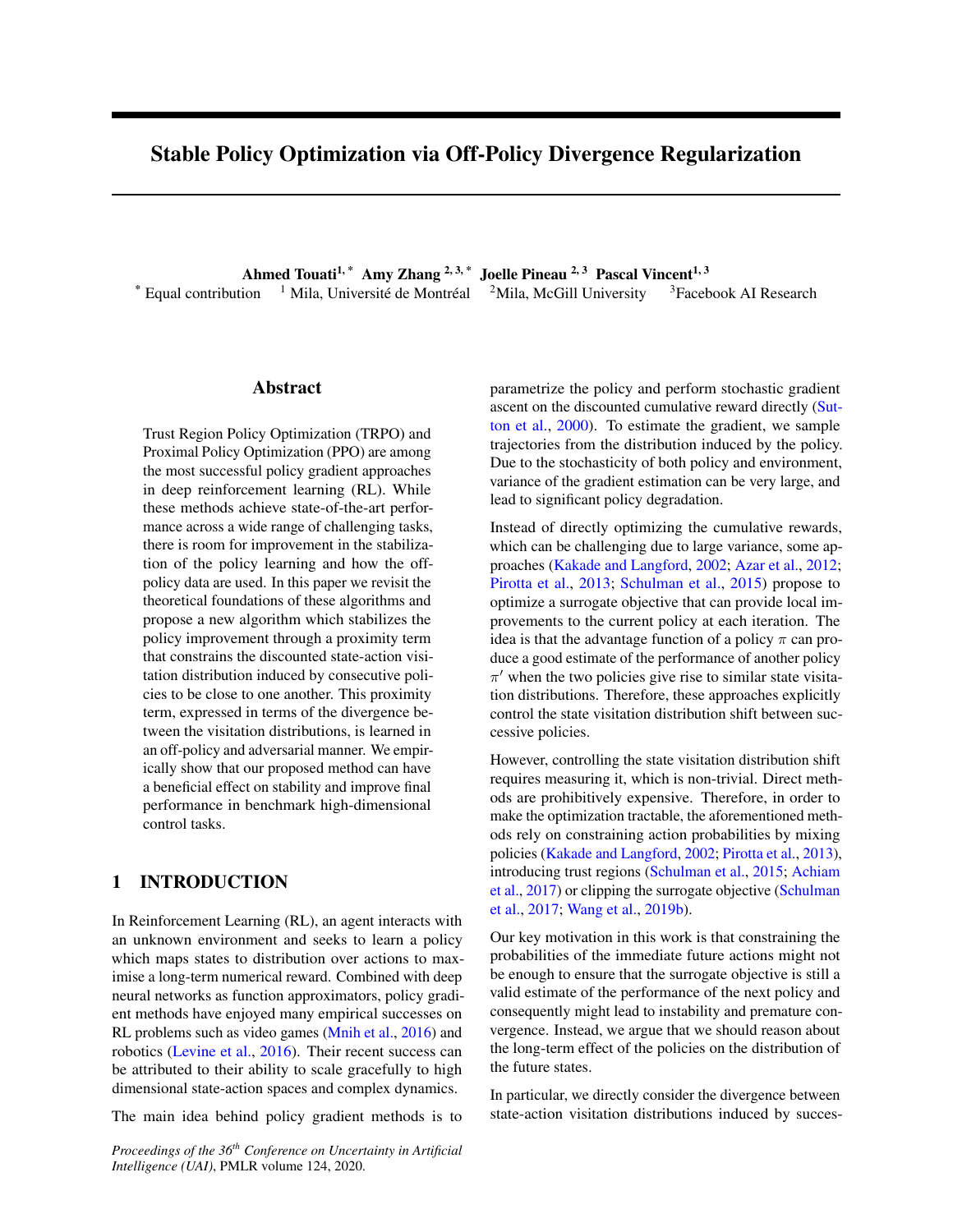## A Omitted Proofs

#### A.1 Proof of Lemma 3.1

According to performance difference lemma 2.1, we have

$$
J( \theta) = J( ) + E_{s d} \circ E_{a} \quad \text{or} \quad [A (s; a)]
$$
\n
$$
= J( ) + E_{s d} E_{a} \quad \text{or} \quad [A (s; a)] + E_{s d} E_{a} \quad \text{or} \quad [A (s; a)] + E_{s d} E_{a} \quad \text{or} \quad [A (s; a)] + E_{s d} E_{a} \quad \text{or} \quad [A (s; a)]
$$
\n
$$
Z^{S2S}
$$
\n
$$
J( ) + E_{s d} E_{a} \quad \text{or} \quad [A (s; a)]
$$
\n
$$
= J( ) + E_{s d} E_{a} \quad \text{or} \quad [A (s; a)]
$$
\n
$$
= J( ) + E_{s d} E_{a} \quad \text{or} \quad [A (s; a)]
$$
\n
$$
= J( ) + E_{s d} E_{a} \quad \text{or} \quad [A (s; a)]
$$
\n
$$
= J( ) + E_{s d} E_{a} \quad \text{or} \quad [A (s; a)]
$$
\n
$$
= J( ) + E_{s d} E_{a} \quad \text{or} \quad [A (s; a)]
$$
\n
$$
= J( ) + E_{s d} E_{a} \quad \text{or} \quad [A (s; a)]
$$
\n
$$
= J( ) + E_{s d} E_{a} \quad \text{or} \quad [A (s; a)]
$$
\n
$$
= J( ) + E_{s d} E_{a} \quad \text{or} \quad [A (s; a)]
$$
\n
$$
= J( ) + E_{s d} E_{a} \quad \text{or} \quad [A (s; a)]
$$
\n
$$
= J( ) + E_{s d} E_{a} \quad \text{or} \quad [A (s; a)]
$$
\n
$$
= J( ) + E_{s d} E_{a} \quad \text{or} \quad [A (s; a)]
$$
\n
$$
= J( ) + E_{s d} E_{a} \quad \text{or} \quad [A (s; a)]
$$
\n
$$
= J( ) + E_{s d} E_{a} \quad \text{or} \quad [A (s; a)]
$$
\n
$$
= J( ) + E_{s d} E_{a} \quad \text{or
$$

where  $=$  max<sub>s</sub> jE<sub>a  $\alpha$ (js) [A (s; a)] j and D<sub>TV</sub> is total variation distance. The rst inequality follows from</sub> Cauchy-Schwartz inequality.

A.2 Score Function Estimator of the gradient with respect to the policy

$$
Z = Z
$$
  
\n
$$
r \circ E_{s} \quad {}_{0}[g(s; a)] = r \circ g(s; a) \quad (s) \quad {}^{0}(a \, j \, s) = g(s; a) \quad (s) r \circ {}^{0}(a \, j \, s) = E_{s} \quad {}_{0}[g(s; a) r \circ log \quad {}^{0}(a \, j \, s)]
$$

$$
\begin{array}{ccccccccc}\nr & \circ E_{(s;a)} & & \text{if} & \text{if} & \text{if} & \text{if} & \text{if} & \text{if} & \text{if} & \text{if} & \text{if} & \text{if} & \text{if} & \text{if} & \text{if} & \text{if} & \text{if} & \text{if} & \text{if} & \text{if} & \text{if} & \text{if} & \text{if} & \text{if} & \text{if} & \text{if} & \text{if} & \text{if} & \text{if} & \text{if} & \text{if} & \text{if} & \text{if} & \text{if} & \text{if} & \text{if} & \text{if} & \text{if} & \text{if} & \text{if} & \text{if} & \text{if} & \text{if} & \text{if} & \text{if} & \text{if} & \text{if} & \text{if} & \text{if} & \text{if} & \text{if} & \text{if} & \text{if} & \text{if} & \text{if} & \text{if} & \text{if} & \text{if} & \text{if} & \text{if} & \text{if} & \text{if} & \text{if} & \text{if} & \text{if} & \text{if} & \text{if} & \text{if} & \text{if} & \text{if} & \text{if} & \text{if} & \text{if} & \text{if} & \text{if} & \text{if} & \text{if} & \text{if} & \text{if} & \text{if} & \text{if} & \text{if} & \text{if} & \text{if} & \text{if} & \text{if} & \text{if} & \text{if} & \text{if} & \text{if} & \text{if} & \text{if} & \text{if} & \text{if}
$$

### B Comparison with AlgaeDICE

Both the recent AlgaeDICE (Nachum et al., 2019b) and our present work propose regularisation based on discounted state-action visitation distribution but in different ways. Firstly, AlgaeDICE is initially designed to nd an optimal policy given a batch of training data. They alter the objective function itself i.e the policy performation adding the divergence between the discounted state-action visitation distribution and training distribution, while our approach adds the divergence term to ( $9$ ). The latter is a rst order Taylor approximation of the policy performance  $69$ . Therefore, our approach could be seen as a mirror descent that uses the divergence as a proximity term. Secondly, their training objective is completely different from ours. Their method ends up being an off-policy version of the actor-critic method.

We implemented the AlgaeDICE min-max objective to replace our surrogate min-max objective in the PPO training procedure i.e at each iteration, we sample rollouts from the current policy and update the actor and the critic of AlgaeDICE for 10 epochs. Empirically, we observed that AlgaeDICE objective is very slow to train in this setting. This was expected as it is agnostic to training data while our method leverages the fact that the data is produced by the current policy and estimates advantage using on-policy multi-step Monte Carlo. So our approach is more suitable than AlgaeDICE in this setting. However, AlgaeDICE, as an off-policy method, would be better when storing all history of transitions and updating both actor and critic after each transition, as shown in Nachum et al. (2019b).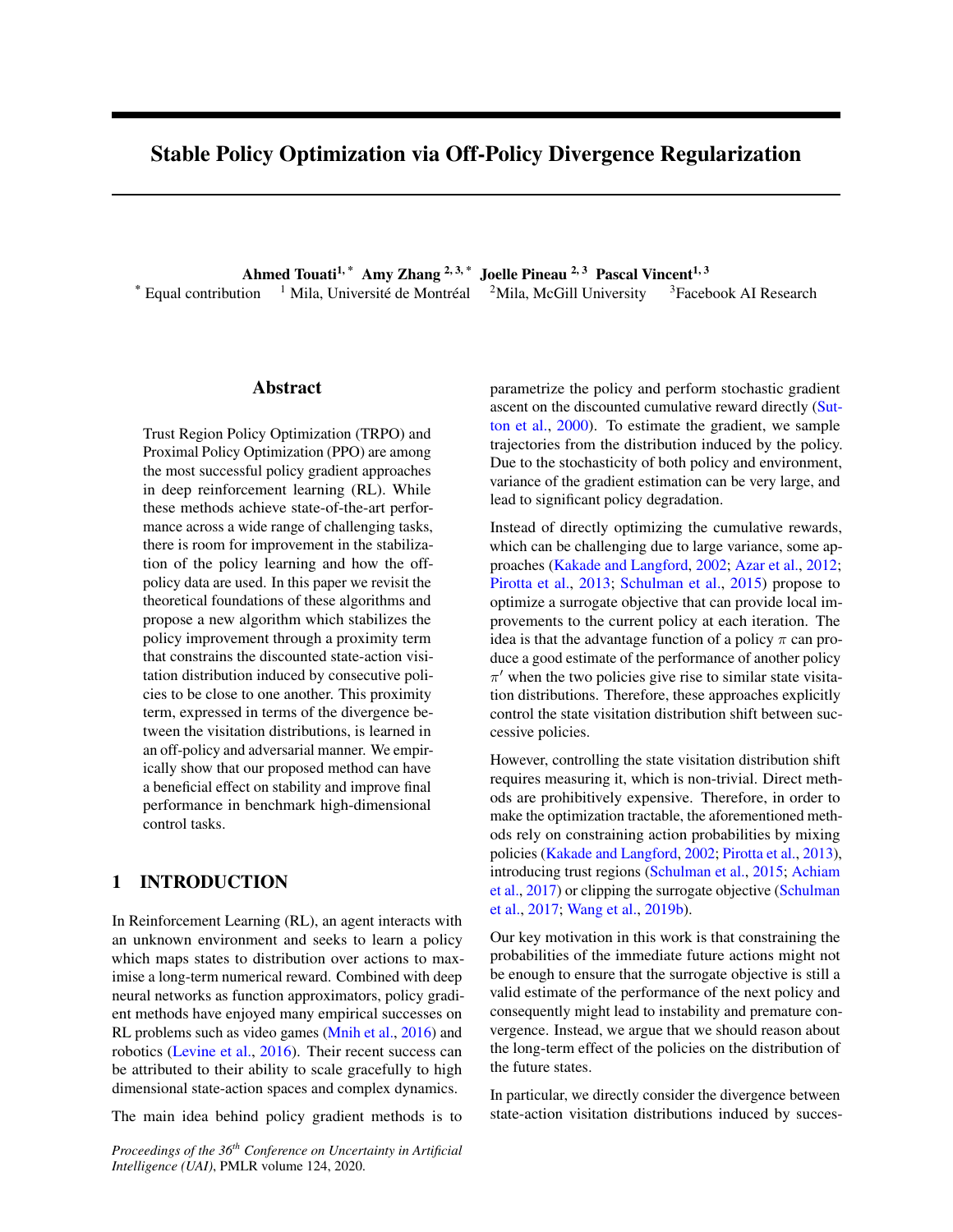# C Empirical Results

C.1 OpenAI Gym: MuJoCo

See Figure 5

C.2 Atari

See Figure 6

# D Hyperparameters

# D.1 OpenAI Gym: MuJoCo

For the OpenAI Gym environments we use the default hyperparameters in Kostrikov (2018).

| Parameter name                         | Value  |
|----------------------------------------|--------|
| Number of minibatches                  |        |
| Discount                               | 0.99   |
| Optimizer                              | Adam   |
| Learning rate                          | $3e-4$ |
| PPO clip parameter                     | 0:2    |
| PPO epochs                             | 10     |
| GAE                                    | 0:95   |
| Entropy coef                           |        |
| Value loss coef                        | 0:5    |
| Number of forward steps per update2048 |        |

Table 2: A complete overview of used hyper parameters for all methods.

## D.2 Atari

For the Atari hyperparameters, we again use the defaults set by Kostrikov (2018).

| Parameter name                         | Value    |
|----------------------------------------|----------|
| Number of minibatches                  |          |
| Discount                               | 0:99     |
| Optimizer                              | Adam     |
| Learning rate                          | $2.5e-4$ |
| PPO clip parameter                     | 0:1      |
| PPO epochs                             | 4        |
| Number of processes                    | 8        |
| GAE                                    | 0:95     |
| Entropy coef                           | 0:01     |
| Value loss coef                        | 0:5      |
| Number of forward steps per update 128 |          |

Table 3: A complete overview of used hyper parameters for all methods.